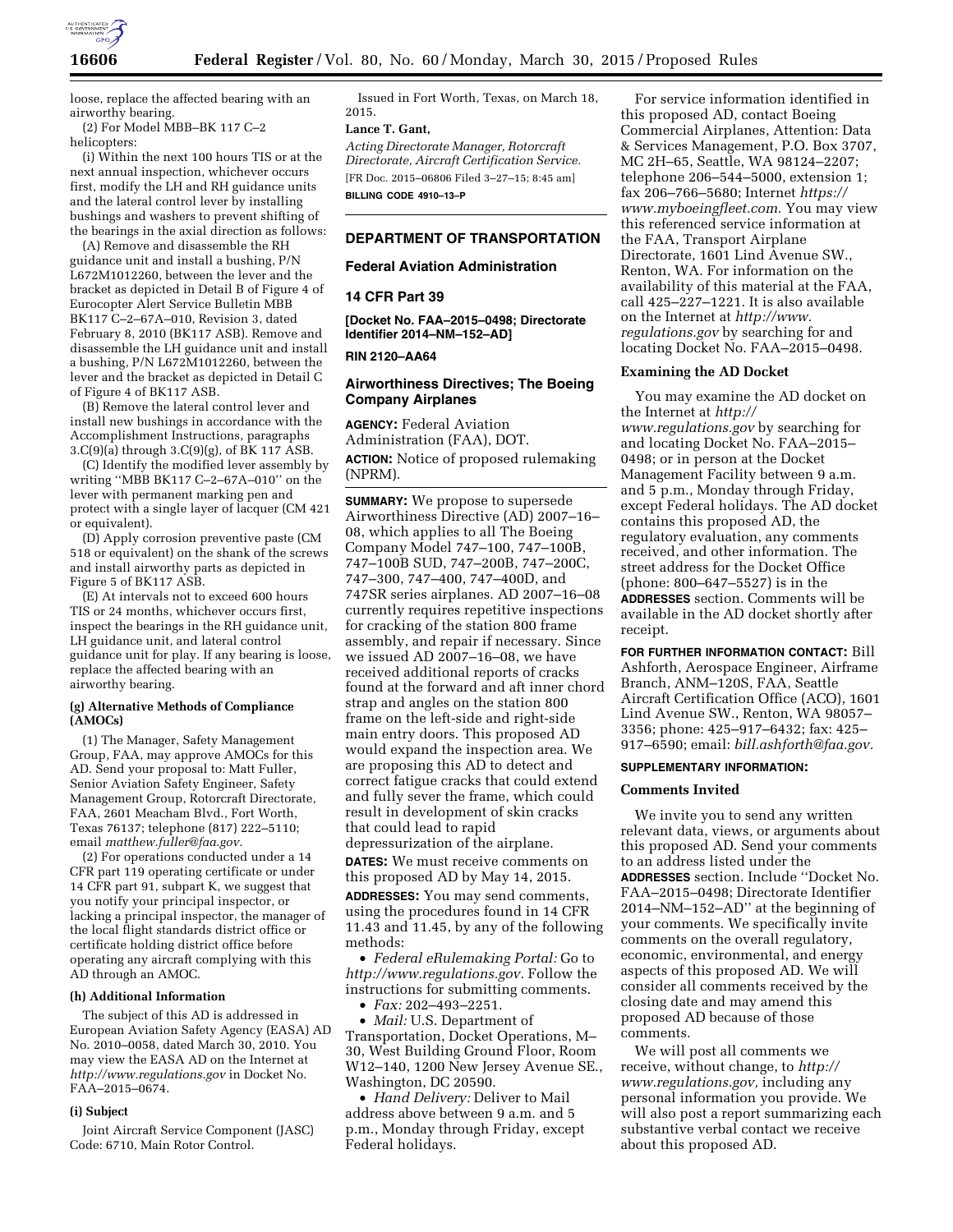

loose, replace the affected bearing with an airworthy bearing.

(2) For Model MBB–BK 117 C–2 helicopters:

(i) Within the next 100 hours TIS or at the next annual inspection, whichever occurs first, modify the LH and RH guidance units and the lateral control lever by installing bushings and washers to prevent shifting of the bearings in the axial direction as follows:

(A) Remove and disassemble the RH guidance unit and install a bushing, P/N L672M1012260, between the lever and the bracket as depicted in Detail B of Figure 4 of Eurocopter Alert Service Bulletin MBB BK117 C–2–67A–010, Revision 3, dated February 8, 2010 (BK117 ASB). Remove and disassemble the LH guidance unit and install a bushing, P/N L672M1012260, between the lever and the bracket as depicted in Detail C of Figure 4 of BK117 ASB.

(B) Remove the lateral control lever and install new bushings in accordance with the Accomplishment Instructions, paragraphs 3.C(9)(a) through 3.C(9)(g), of BK 117 ASB.

(C) Identify the modified lever assembly by writing ''MBB BK117 C–2–67A–010'' on the lever with permanent marking pen and protect with a single layer of lacquer (CM 421 or equivalent).

(D) Apply corrosion preventive paste (CM 518 or equivalent) on the shank of the screws and install airworthy parts as depicted in Figure 5 of BK117 ASB.

(E) At intervals not to exceed 600 hours TIS or 24 months, whichever occurs first, inspect the bearings in the RH guidance unit, LH guidance unit, and lateral control guidance unit for play. If any bearing is loose, replace the affected bearing with an airworthy bearing.

## **(g) Alternative Methods of Compliance (AMOCs)**

(1) The Manager, Safety Management Group, FAA, may approve AMOCs for this AD. Send your proposal to: Matt Fuller, Senior Aviation Safety Engineer, Safety Management Group, Rotorcraft Directorate, FAA, 2601 Meacham Blvd., Fort Worth, Texas 76137; telephone (817) 222–5110; email *[matthew.fuller@faa.gov.](mailto:matthew.fuller@faa.gov)* 

(2) For operations conducted under a 14 CFR part 119 operating certificate or under 14 CFR part 91, subpart K, we suggest that you notify your principal inspector, or lacking a principal inspector, the manager of the local flight standards district office or certificate holding district office before operating any aircraft complying with this AD through an AMOC.

### **(h) Additional Information**

The subject of this AD is addressed in European Aviation Safety Agency (EASA) AD No. 2010–0058, dated March 30, 2010. You may view the EASA AD on the Internet at *<http://www.regulations.gov>*in Docket No. FAA–2015–0674.

#### **(i) Subject**

Joint Aircraft Service Component (JASC) Code: 6710, Main Rotor Control.

Issued in Fort Worth, Texas, on March 18, 2015.

# **Lance T. Gant,**

*Acting Directorate Manager, Rotorcraft Directorate, Aircraft Certification Service.*  [FR Doc. 2015–06806 Filed 3–27–15; 8:45 am] **BILLING CODE 4910–13–P** 

## **DEPARTMENT OF TRANSPORTATION**

### **Federal Aviation Administration**

### **14 CFR Part 39**

**[Docket No. FAA–2015–0498; Directorate Identifier 2014–NM–152–AD]** 

## **RIN 2120–AA64**

## **Airworthiness Directives; The Boeing Company Airplanes**

**AGENCY:** Federal Aviation Administration (FAA), DOT. **ACTION:** Notice of proposed rulemaking (NPRM).

**SUMMARY:** We propose to supersede Airworthiness Directive (AD) 2007–16– 08, which applies to all The Boeing Company Model 747–100, 747–100B, 747–100B SUD, 747–200B, 747–200C, 747–300, 747–400, 747–400D, and 747SR series airplanes. AD 2007–16–08 currently requires repetitive inspections for cracking of the station 800 frame assembly, and repair if necessary. Since we issued AD 2007–16–08, we have received additional reports of cracks found at the forward and aft inner chord strap and angles on the station 800 frame on the left-side and right-side main entry doors. This proposed AD would expand the inspection area. We are proposing this AD to detect and correct fatigue cracks that could extend and fully sever the frame, which could result in development of skin cracks that could lead to rapid

depressurization of the airplane.

**DATES:** We must receive comments on this proposed AD by May 14, 2015.

**ADDRESSES:** You may send comments, using the procedures found in 14 CFR 11.43 and 11.45, by any of the following methods:

• *Federal eRulemaking Portal:* Go to *[http://www.regulations.gov.](http://www.regulations.gov)* Follow the instructions for submitting comments.

• *Fax:* 202–493–2251.

• *Mail:* U.S. Department of Transportation, Docket Operations, M– 30, West Building Ground Floor, Room W12–140, 1200 New Jersey Avenue SE., Washington, DC 20590.

• *Hand Delivery:* Deliver to Mail address above between 9 a.m. and 5 p.m., Monday through Friday, except Federal holidays.

For service information identified in this proposed AD, contact Boeing Commercial Airplanes, Attention: Data & Services Management, P.O. Box 3707, MC 2H–65, Seattle, WA 98124–2207; telephone 206–544–5000, extension 1; fax 206–766–5680; Internet *[https://](https://www.myboeingfleet.com) [www.myboeingfleet.com.](https://www.myboeingfleet.com)* You may view this referenced service information at the FAA, Transport Airplane Directorate, 1601 Lind Avenue SW., Renton, WA. For information on the availability of this material at the FAA, call 425–227–1221. It is also available on the Internet at *[http://www.](http://www.regulations.gov) [regulations.gov](http://www.regulations.gov)* by searching for and locating Docket No. FAA–2015–0498.

#### **Examining the AD Docket**

You may examine the AD docket on the Internet at *[http://](http://www.regulations.gov) [www.regulations.gov](http://www.regulations.gov)* by searching for and locating Docket No. FAA–2015– 0498; or in person at the Docket Management Facility between 9 a.m. and 5 p.m., Monday through Friday, except Federal holidays. The AD docket contains this proposed AD, the regulatory evaluation, any comments received, and other information. The street address for the Docket Office (phone: 800–647–5527) is in the **ADDRESSES** section. Comments will be available in the AD docket shortly after receipt.

**FOR FURTHER INFORMATION CONTACT:** Bill Ashforth, Aerospace Engineer, Airframe Branch, ANM–120S, FAA, Seattle Aircraft Certification Office (ACO), 1601 Lind Avenue SW., Renton, WA 98057– 3356; phone: 425–917–6432; fax: 425– 917–6590; email: *[bill.ashforth@faa.gov.](mailto:bill.ashforth@faa.gov)* 

# **SUPPLEMENTARY INFORMATION:**

## **Comments Invited**

We invite you to send any written relevant data, views, or arguments about this proposed AD. Send your comments to an address listed under the **ADDRESSES** section. Include ''Docket No. FAA–2015–0498; Directorate Identifier 2014–NM–152–AD'' at the beginning of your comments. We specifically invite comments on the overall regulatory, economic, environmental, and energy aspects of this proposed AD. We will consider all comments received by the closing date and may amend this proposed AD because of those comments.

We will post all comments we receive, without change, to *[http://](http://www.regulations.gov) [www.regulations.gov,](http://www.regulations.gov)* including any personal information you provide. We will also post a report summarizing each substantive verbal contact we receive about this proposed AD.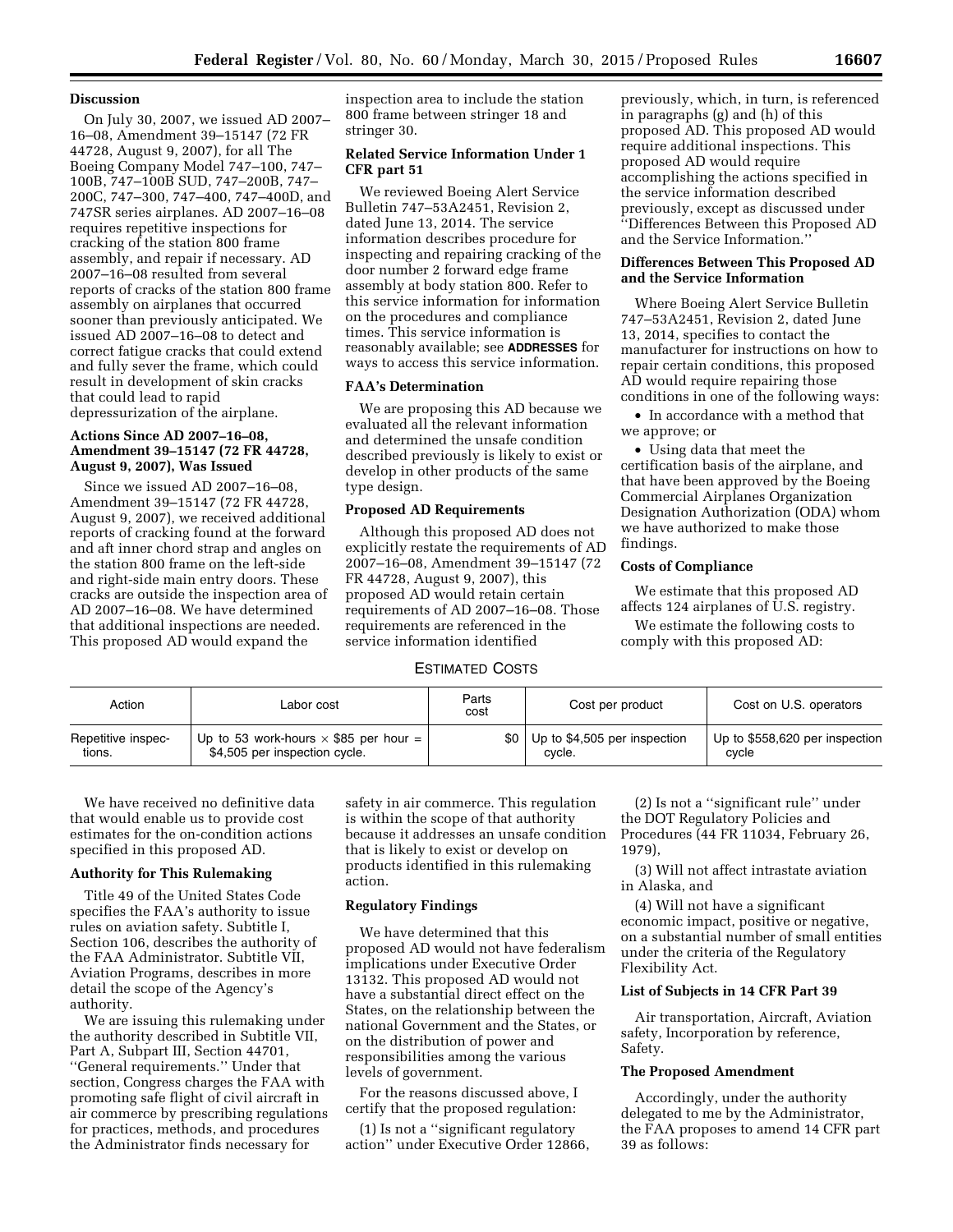## **Discussion**

On July 30, 2007, we issued AD 2007– 16–08, Amendment 39–15147 (72 FR 44728, August 9, 2007), for all The Boeing Company Model 747–100, 747– 100B, 747–100B SUD, 747–200B, 747– 200C, 747–300, 747–400, 747–400D, and 747SR series airplanes. AD 2007–16–08 requires repetitive inspections for cracking of the station 800 frame assembly, and repair if necessary. AD 2007–16–08 resulted from several reports of cracks of the station 800 frame assembly on airplanes that occurred sooner than previously anticipated. We issued AD 2007–16–08 to detect and correct fatigue cracks that could extend and fully sever the frame, which could result in development of skin cracks that could lead to rapid depressurization of the airplane.

## **Actions Since AD 2007–16–08, Amendment 39–15147 (72 FR 44728, August 9, 2007), Was Issued**

Since we issued AD 2007–16–08, Amendment 39–15147 (72 FR 44728, August 9, 2007), we received additional reports of cracking found at the forward and aft inner chord strap and angles on the station 800 frame on the left-side and right-side main entry doors. These cracks are outside the inspection area of AD 2007–16–08. We have determined that additional inspections are needed. This proposed AD would expand the

inspection area to include the station 800 frame between stringer 18 and stringer 30.

## **Related Service Information Under 1 CFR part 51**

We reviewed Boeing Alert Service Bulletin 747–53A2451, Revision 2, dated June 13, 2014. The service information describes procedure for inspecting and repairing cracking of the door number 2 forward edge frame assembly at body station 800. Refer to this service information for information on the procedures and compliance times. This service information is reasonably available; see **ADDRESSES** for ways to access this service information.

## **FAA's Determination**

We are proposing this AD because we evaluated all the relevant information and determined the unsafe condition described previously is likely to exist or develop in other products of the same type design.

## **Proposed AD Requirements**

Although this proposed AD does not explicitly restate the requirements of AD 2007–16–08, Amendment 39–15147 (72 FR 44728, August 9, 2007), this proposed AD would retain certain requirements of AD 2007–16–08. Those requirements are referenced in the service information identified

# ESTIMATED COSTS

previously, which, in turn, is referenced in paragraphs (g) and (h) of this proposed AD. This proposed AD would require additional inspections. This proposed AD would require accomplishing the actions specified in the service information described previously, except as discussed under ''Differences Between this Proposed AD and the Service Information.''

## **Differences Between This Proposed AD and the Service Information**

Where Boeing Alert Service Bulletin 747–53A2451, Revision 2, dated June 13, 2014, specifies to contact the manufacturer for instructions on how to repair certain conditions, this proposed AD would require repairing those conditions in one of the following ways:

• In accordance with a method that we approve; or

• Using data that meet the certification basis of the airplane, and that have been approved by the Boeing Commercial Airplanes Organization Designation Authorization (ODA) whom we have authorized to make those findings.

## **Costs of Compliance**

We estimate that this proposed AD affects 124 airplanes of U.S. registry.

We estimate the following costs to comply with this proposed AD:

| Action             | Labor cost                                   | Parts<br>cost | Cost per product                       | Cost on U.S. operators         |
|--------------------|----------------------------------------------|---------------|----------------------------------------|--------------------------------|
| Repetitive inspec- | Up to 53 work-hours $\times$ \$85 per hour = |               | $$0 \mid$ Up to \$4,505 per inspection | Up to \$558,620 per inspection |
| tions.             | \$4,505 per inspection cycle.                |               | cycle.                                 | cycle                          |

We have received no definitive data that would enable us to provide cost estimates for the on-condition actions specified in this proposed AD.

# **Authority for This Rulemaking**

Title 49 of the United States Code specifies the FAA's authority to issue rules on aviation safety. Subtitle I, Section 106, describes the authority of the FAA Administrator. Subtitle VII, Aviation Programs, describes in more detail the scope of the Agency's authority.

We are issuing this rulemaking under the authority described in Subtitle VII, Part A, Subpart III, Section 44701, ''General requirements.'' Under that section, Congress charges the FAA with promoting safe flight of civil aircraft in air commerce by prescribing regulations for practices, methods, and procedures the Administrator finds necessary for

safety in air commerce. This regulation is within the scope of that authority because it addresses an unsafe condition that is likely to exist or develop on products identified in this rulemaking action.

## **Regulatory Findings**

We have determined that this proposed AD would not have federalism implications under Executive Order 13132. This proposed AD would not have a substantial direct effect on the States, on the relationship between the national Government and the States, or on the distribution of power and responsibilities among the various levels of government.

For the reasons discussed above, I certify that the proposed regulation:

(1) Is not a ''significant regulatory action'' under Executive Order 12866,

(2) Is not a ''significant rule'' under the DOT Regulatory Policies and Procedures (44 FR 11034, February 26, 1979),

(3) Will not affect intrastate aviation in Alaska, and

(4) Will not have a significant economic impact, positive or negative, on a substantial number of small entities under the criteria of the Regulatory Flexibility Act.

## **List of Subjects in 14 CFR Part 39**

Air transportation, Aircraft, Aviation safety, Incorporation by reference, Safety.

## **The Proposed Amendment**

Accordingly, under the authority delegated to me by the Administrator, the FAA proposes to amend 14 CFR part 39 as follows: